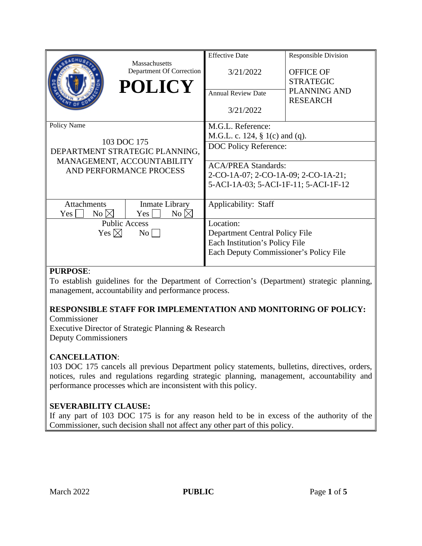|                                                                                                                       | Massachusetts<br>Department Of Correction<br><b>POLICY</b>                               | <b>Effective Date</b><br>3/21/2022<br><b>Annual Review Date</b><br>3/21/2022                                                                                                                  | <b>Responsible Division</b><br><b>OFFICE OF</b><br><b>STRATEGIC</b><br>PLANNING AND<br><b>RESEARCH</b> |
|-----------------------------------------------------------------------------------------------------------------------|------------------------------------------------------------------------------------------|-----------------------------------------------------------------------------------------------------------------------------------------------------------------------------------------------|--------------------------------------------------------------------------------------------------------|
| Policy Name<br>103 DOC 175<br>DEPARTMENT STRATEGIC PLANNING,<br>MANAGEMENT, ACCOUNTABILITY<br>AND PERFORMANCE PROCESS |                                                                                          | M.G.L. Reference:<br>M.G.L. c. 124, $\S$ 1(c) and (q).<br>DOC Policy Reference:<br><b>ACA/PREA Standards:</b><br>2-CO-1A-07; 2-CO-1A-09; 2-CO-1A-21;<br>5-ACI-1A-03; 5-ACI-1F-11; 5-ACI-1F-12 |                                                                                                        |
| Attachments<br>$No \boxtimes$<br>Yes  <br>Yes $\boxtimes$                                                             | Inmate Library<br>No $\boxtimes$<br>$Yes \mid \mid$<br><b>Public Access</b><br>$\rm{No}$ | Applicability: Staff<br>Location:<br>Department Central Policy File                                                                                                                           |                                                                                                        |
|                                                                                                                       |                                                                                          | Each Institution's Policy File<br>Each Deputy Commissioner's Policy File                                                                                                                      |                                                                                                        |

# **PURPOSE**:

To establish guidelines for the Department of Correction's (Department) strategic planning, management, accountability and performance process.

# **RESPONSIBLE STAFF FOR IMPLEMENTATION AND MONITORING OF POLICY:**

Commissioner Executive Director of Strategic Planning & Research Deputy Commissioners

# **CANCELLATION**:

103 DOC 175 cancels all previous Department policy statements, bulletins, directives, orders, notices, rules and regulations regarding strategic planning, management, accountability and performance processes which are inconsistent with this policy.

# **SEVERABILITY CLAUSE:**

If any part of 103 DOC 175 is for any reason held to be in excess of the authority of the Commissioner, such decision shall not affect any other part of this policy.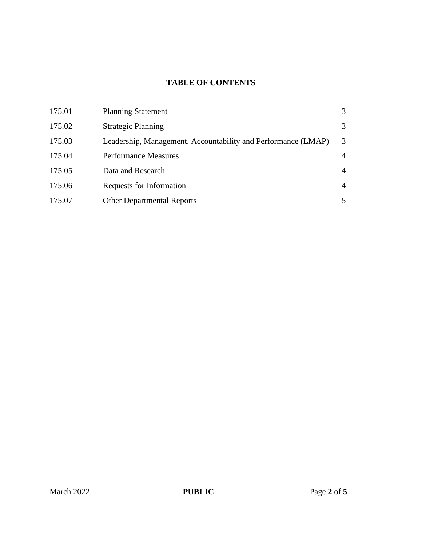# **TABLE OF CONTENTS**

| 175.01 | <b>Planning Statement</b>                                     | 3              |
|--------|---------------------------------------------------------------|----------------|
| 175.02 | <b>Strategic Planning</b>                                     | 3              |
| 175.03 | Leadership, Management, Accountability and Performance (LMAP) | 3              |
| 175.04 | <b>Performance Measures</b>                                   | 4              |
| 175.05 | Data and Research                                             | $\overline{4}$ |
| 175.06 | Requests for Information                                      | $\overline{4}$ |
| 175.07 | <b>Other Departmental Reports</b>                             | 5              |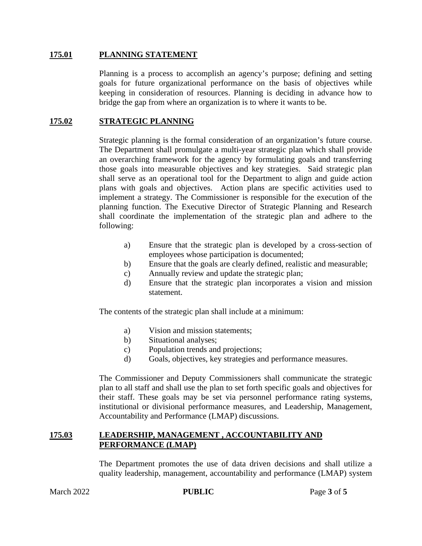#### **175.01 PLANNING STATEMENT**

Planning is a process to accomplish an agency's purpose; defining and setting goals for future organizational performance on the basis of objectives while keeping in consideration of resources. Planning is deciding in advance how to bridge the gap from where an organization is to where it wants to be.

## **175.02 STRATEGIC PLANNING**

Strategic planning is the formal consideration of an organization's future course. The Department shall promulgate a multi-year strategic plan which shall provide an overarching framework for the agency by formulating goals and transferring those goals into measurable objectives and key strategies. Said strategic plan shall serve as an operational tool for the Department to align and guide action plans with goals and objectives. Action plans are specific activities used to implement a strategy. The Commissioner is responsible for the execution of the planning function. The Executive Director of Strategic Planning and Research shall coordinate the implementation of the strategic plan and adhere to the following:

- a) Ensure that the strategic plan is developed by a cross-section of employees whose participation is documented;
- b) Ensure that the goals are clearly defined, realistic and measurable;
- c) Annually review and update the strategic plan;
- d) Ensure that the strategic plan incorporates a vision and mission statement.

The contents of the strategic plan shall include at a minimum:

- a) Vision and mission statements;
- b) Situational analyses;
- c) Population trends and projections;
- d) Goals, objectives, key strategies and performance measures.

The Commissioner and Deputy Commissioners shall communicate the strategic plan to all staff and shall use the plan to set forth specific goals and objectives for their staff. These goals may be set via personnel performance rating systems, institutional or divisional performance measures, and Leadership, Management, Accountability and Performance (LMAP) discussions.

#### **175.03 LEADERSHIP, MANAGEMENT , ACCOUNTABILITY AND PERFORMANCE (LMAP)**

The Department promotes the use of data driven decisions and shall utilize a quality leadership, management, accountability and performance (LMAP) system

**PUBLIC** Page 3 of 5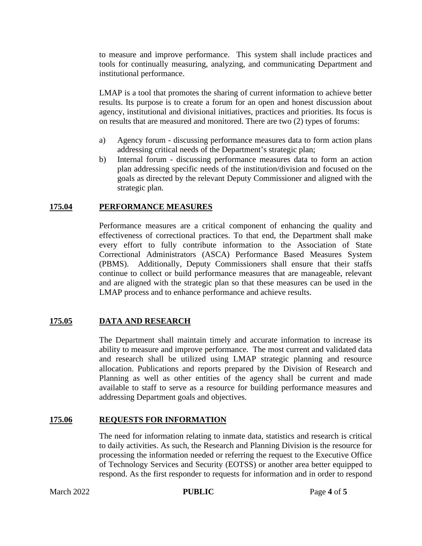to measure and improve performance. This system shall include practices and tools for continually measuring, analyzing, and communicating Department and institutional performance.

LMAP is a tool that promotes the sharing of current information to achieve better results. Its purpose is to create a forum for an open and honest discussion about agency, institutional and divisional initiatives, practices and priorities. Its focus is on results that are measured and monitored. There are two (2) types of forums:

- a) Agency forum discussing performance measures data to form action plans addressing critical needs of the Department's strategic plan;
- b) Internal forum discussing performance measures data to form an action plan addressing specific needs of the institution/division and focused on the goals as directed by the relevant Deputy Commissioner and aligned with the strategic plan.

#### **175.04 PERFORMANCE MEASURES**

Performance measures are a critical component of enhancing the quality and effectiveness of correctional practices. To that end, the Department shall make every effort to fully contribute information to the Association of State Correctional Administrators (ASCA) Performance Based Measures System (PBMS). Additionally, Deputy Commissioners shall ensure that their staffs continue to collect or build performance measures that are manageable, relevant and are aligned with the strategic plan so that these measures can be used in the LMAP process and to enhance performance and achieve results.

## **175.05 DATA AND RESEARCH**

The Department shall maintain timely and accurate information to increase its ability to measure and improve performance. The most current and validated data and research shall be utilized using LMAP strategic planning and resource allocation. Publications and reports prepared by the Division of Research and Planning as well as other entities of the agency shall be current and made available to staff to serve as a resource for building performance measures and addressing Department goals and objectives.

#### **175.06 REQUESTS FOR INFORMATION**

The need for information relating to inmate data, statistics and research is critical to daily activities. As such, the Research and Planning Division is the resource for processing the information needed or referring the request to the Executive Office of Technology Services and Security (EOTSS) or another area better equipped to respond. As the first responder to requests for information and in order to respond

**PUBLIC** Page 4 of 5